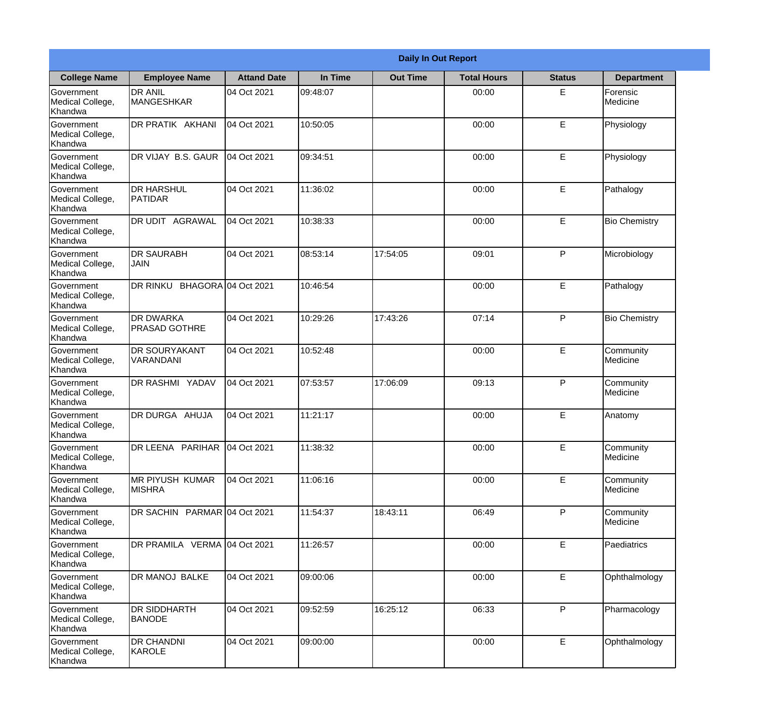|                                           | <b>Daily In Out Report</b>               |                    |          |                 |                    |               |                       |
|-------------------------------------------|------------------------------------------|--------------------|----------|-----------------|--------------------|---------------|-----------------------|
| <b>College Name</b>                       | <b>Employee Name</b>                     | <b>Attand Date</b> | In Time  | <b>Out Time</b> | <b>Total Hours</b> | <b>Status</b> | <b>Department</b>     |
| Government<br>Medical College,<br>Khandwa | <b>DR ANIL</b><br><b>MANGESHKAR</b>      | 04 Oct 2021        | 09:48:07 |                 | 00:00              | E             | Forensic<br>Medicine  |
| Government<br>Medical College,<br>Khandwa | DR PRATIK AKHANI                         | 04 Oct 2021        | 10:50:05 |                 | 00:00              | E             | Physiology            |
| Government<br>Medical College,<br>Khandwa | DR VIJAY B.S. GAUR                       | 04 Oct 2021        | 09:34:51 |                 | 00:00              | E             | Physiology            |
| Government<br>Medical College,<br>Khandwa | <b>DR HARSHUL</b><br>PATIDAR             | 04 Oct 2021        | 11:36:02 |                 | 00:00              | E             | Pathalogy             |
| Government<br>Medical College,<br>Khandwa | DR UDIT AGRAWAL                          | 04 Oct 2021        | 10:38:33 |                 | 00:00              | E             | <b>Bio Chemistry</b>  |
| Government<br>Medical College,<br>Khandwa | <b>DR SAURABH</b><br><b>JAIN</b>         | 04 Oct 2021        | 08:53:14 | 17:54:05        | 09:01              | P             | Microbiology          |
| Government<br>Medical College,<br>Khandwa | DR RINKU BHAGORA 04 Oct 2021             |                    | 10:46:54 |                 | 00:00              | E             | Pathalogy             |
| Government<br>Medical College,<br>Khandwa | <b>DR DWARKA</b><br><b>PRASAD GOTHRE</b> | 04 Oct 2021        | 10:29:26 | 17:43:26        | 07:14              | P             | <b>Bio Chemistry</b>  |
| Government<br>Medical College,<br>Khandwa | <b>DR SOURYAKANT</b><br>VARANDANI        | 04 Oct 2021        | 10:52:48 |                 | 00:00              | E             | Community<br>Medicine |
| Government<br>Medical College,<br>Khandwa | DR RASHMI YADAV                          | 04 Oct 2021        | 07:53:57 | 17:06:09        | 09:13              | P             | Community<br>Medicine |
| Government<br>Medical College,<br>Khandwa | DR DURGA AHUJA                           | 04 Oct 2021        | 11:21:17 |                 | 00:00              | E             | Anatomy               |
| Government<br>Medical College,<br>Khandwa | DR LEENA PARIHAR                         | 04 Oct 2021        | 11:38:32 |                 | 00:00              | E             | Community<br>Medicine |
| Government<br>Medical College,<br>Khandwa | <b>MR PIYUSH KUMAR</b><br><b>MISHRA</b>  | 04 Oct 2021        | 11:06:16 |                 | 00:00              | E             | Community<br>Medicine |
| Government<br>Medical College,<br>Khandwa | DR SACHIN PARMAR 04 Oct 2021             |                    | 11:54:37 | 18:43:11        | 06:49              | P             | Community<br>Medicine |
| Government<br>Medical College,<br>Khandwa | DR PRAMILA VERMA                         | 04 Oct 2021        | 11:26:57 |                 | 00:00              | E             | Paediatrics           |
| Government<br>Medical College,<br>Khandwa | DR MANOJ BALKE                           | 04 Oct 2021        | 09:00:06 |                 | 00:00              | E             | Ophthalmology         |
| Government<br>Medical College,<br>Khandwa | <b>DR SIDDHARTH</b><br><b>BANODE</b>     | 04 Oct 2021        | 09:52:59 | 16:25:12        | 06:33              | P             | Pharmacology          |
| Government<br>Medical College,<br>Khandwa | <b>DR CHANDNI</b><br>KAROLE              | 04 Oct 2021        | 09:00:00 |                 | 00:00              | E             | Ophthalmology         |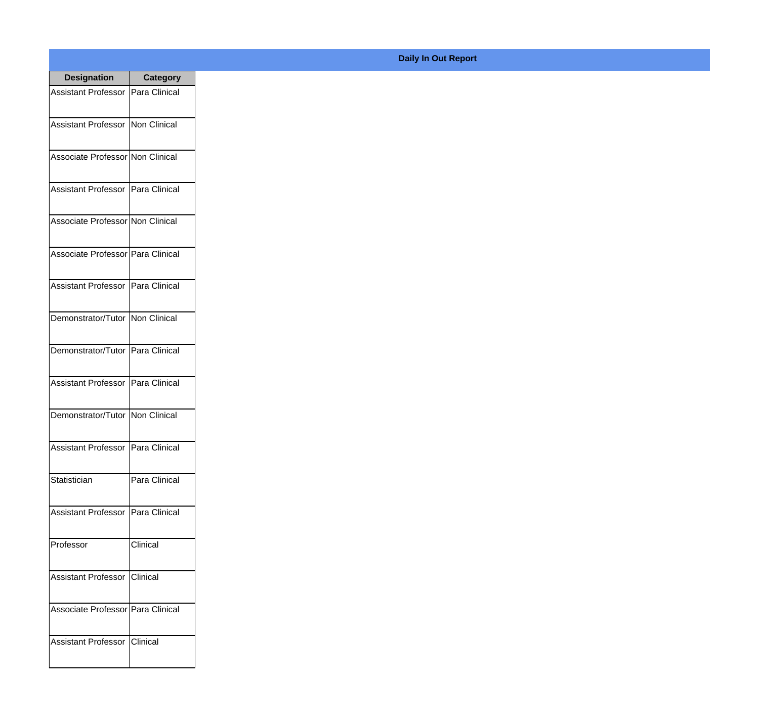| <b>Designation</b>                  | <b>Category</b> |
|-------------------------------------|-----------------|
| Assistant Professor   Para Clinical |                 |
| Assistant Professor   Non Clinical  |                 |
| Associate Professor Non Clinical    |                 |
| Assistant Professor   Para Clinical |                 |
| Associate Professor Non Clinical    |                 |
| Associate Professor Para Clinical   |                 |
| Assistant Professor   Para Clinical |                 |
| Demonstrator/Tutor   Non Clinical   |                 |
| Demonstrator/Tutor   Para Clinical  |                 |
| Assistant Professor                 | Para Clinical   |
| Demonstrator/Tutor                  | Non Clinical    |
| Assistant Professor   Para Clinical |                 |
| Statistician                        | Para Clinical   |
| Assistant Professor   Para Clinical |                 |
| Professor                           | Clinical        |
| <b>Assistant Professor</b>          | <b>Clinical</b> |
| Associate Professor   Para Clinical |                 |
| Assistant Professor   Clinical      |                 |

## **Daily In Out Report**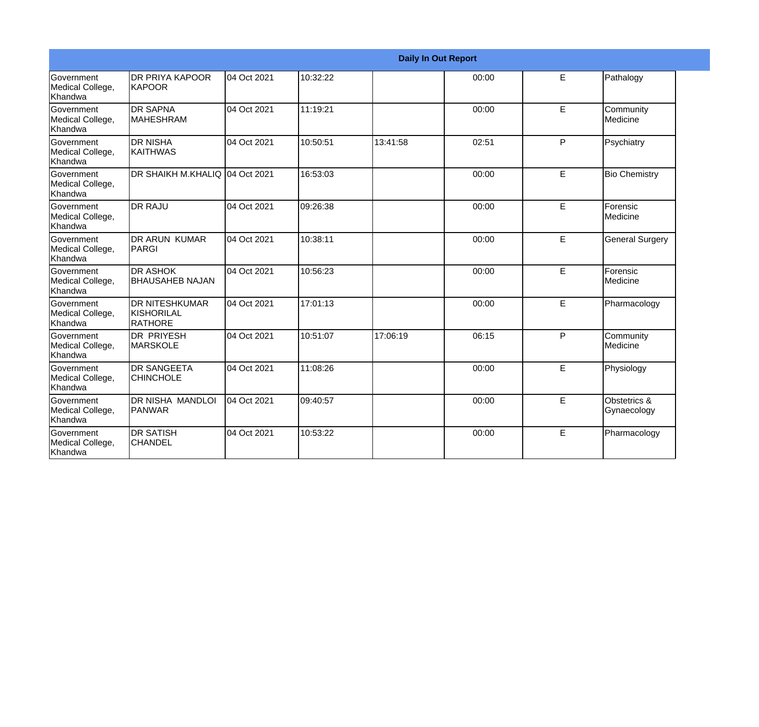|                                           | <b>Daily In Out Report</b>                             |             |          |          |       |    |                             |
|-------------------------------------------|--------------------------------------------------------|-------------|----------|----------|-------|----|-----------------------------|
| Government<br>Medical College,<br>Khandwa | <b>DR PRIYA KAPOOR</b><br><b>KAPOOR</b>                | 04 Oct 2021 | 10:32:22 |          | 00:00 | E  | Pathalogy                   |
| Government<br>Medical College,<br>Khandwa | <b>DR SAPNA</b><br><b>MAHESHRAM</b>                    | 04 Oct 2021 | 11:19:21 |          | 00:00 | E. | Community<br>Medicine       |
| Government<br>Medical College,<br>Khandwa | <b>DR NISHA</b><br>IKAITHWAS                           | 04 Oct 2021 | 10:50:51 | 13:41:58 | 02:51 | P  | Psychiatry                  |
| Government<br>Medical College,<br>Khandwa | DR SHAIKH M.KHALIQ 04 Oct 2021                         |             | 16:53:03 |          | 00:00 | E  | <b>Bio Chemistry</b>        |
| Government<br>Medical College,<br>Khandwa | <b>DR RAJU</b>                                         | 04 Oct 2021 | 09:26:38 |          | 00:00 | E  | Forensic<br>Medicine        |
| Government<br>Medical College,<br>Khandwa | DR ARUN KUMAR<br>PARGI                                 | 04 Oct 2021 | 10:38:11 |          | 00:00 | E  | <b>General Surgery</b>      |
| Government<br>Medical College,<br>Khandwa | <b>DR ASHOK</b><br><b>BHAUSAHEB NAJAN</b>              | 04 Oct 2021 | 10:56:23 |          | 00:00 | E  | Forensic<br>Medicine        |
| Government<br>Medical College,<br>Khandwa | <b>IDR NITESHKUMAR</b><br>KISHORILAL<br><b>RATHORE</b> | 04 Oct 2021 | 17:01:13 |          | 00:00 | E. | Pharmacology                |
| Government<br>Medical College,<br>Khandwa | IDR PRIYESH<br><b>MARSKOLE</b>                         | 04 Oct 2021 | 10:51:07 | 17:06:19 | 06:15 | P  | Community<br>Medicine       |
| Government<br>Medical College,<br>Khandwa | <b>I</b> DR SANGEETA<br><b>CHINCHOLE</b>               | 04 Oct 2021 | 11:08:26 |          | 00:00 | E  | Physiology                  |
| Government<br>Medical College,<br>Khandwa | <b>DR NISHA MANDLOI</b><br>PANWAR                      | 04 Oct 2021 | 09:40:57 |          | 00:00 | E  | Obstetrics &<br>Gynaecology |
| Government<br>Medical College,<br>Khandwa | <b>DR SATISH</b><br><b>CHANDEL</b>                     | 04 Oct 2021 | 10:53:22 |          | 00:00 | E  | Pharmacology                |